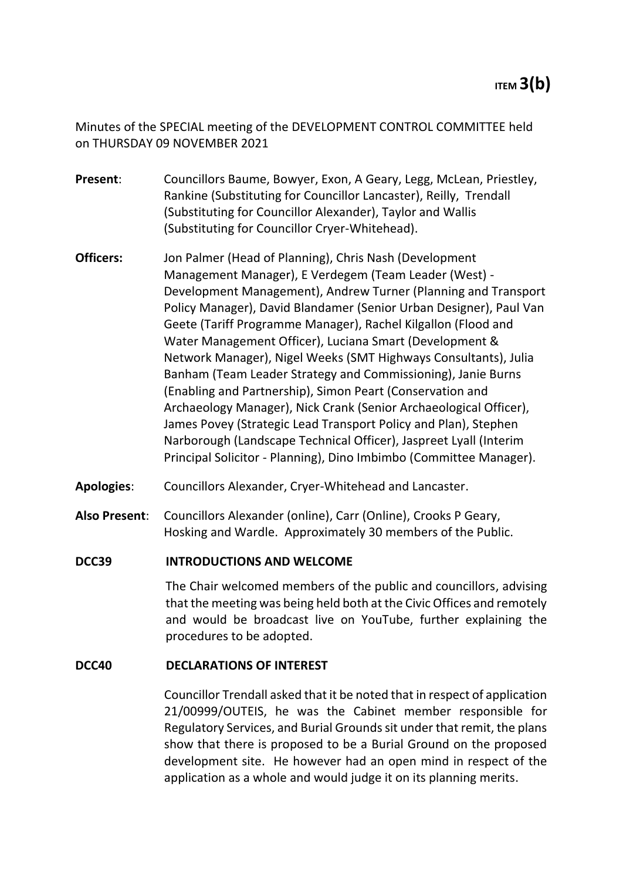Minutes of the SPECIAL meeting of the DEVELOPMENT CONTROL COMMITTEE held on THURSDAY 09 NOVEMBER 2021

- **Present**: Councillors Baume, Bowyer, Exon, A Geary, Legg, McLean, Priestley, Rankine (Substituting for Councillor Lancaster), Reilly, Trendall (Substituting for Councillor Alexander), Taylor and Wallis (Substituting for Councillor Cryer-Whitehead).
- **Officers:** Jon Palmer (Head of Planning), Chris Nash (Development Management Manager), E Verdegem (Team Leader (West) - Development Management), Andrew Turner (Planning and Transport Policy Manager), David Blandamer (Senior Urban Designer), Paul Van Geete (Tariff Programme Manager), Rachel Kilgallon (Flood and Water Management Officer), Luciana Smart (Development & Network Manager), Nigel Weeks (SMT Highways Consultants), Julia Banham (Team Leader Strategy and Commissioning), Janie Burns (Enabling and Partnership), Simon Peart (Conservation and Archaeology Manager), Nick Crank (Senior Archaeological Officer), James Povey (Strategic Lead Transport Policy and Plan), Stephen Narborough (Landscape Technical Officer), Jaspreet Lyall (Interim Principal Solicitor - Planning), Dino Imbimbo (Committee Manager).
- **Apologies**: Councillors Alexander, Cryer-Whitehead and Lancaster.
- **Also Present**: Councillors Alexander (online), Carr (Online), Crooks P Geary, Hosking and Wardle. Approximately 30 members of the Public.

# **DCC39 INTRODUCTIONS AND WELCOME**

The Chair welcomed members of the public and councillors, advising that the meeting was being held both at the Civic Offices and remotely and would be broadcast live on YouTube, further explaining the procedures to be adopted.

# **DCC40 DECLARATIONS OF INTEREST**

Councillor Trendall asked that it be noted that in respect of application 21/00999/OUTEIS, he was the Cabinet member responsible for Regulatory Services, and Burial Grounds sit under that remit, the plans show that there is proposed to be a Burial Ground on the proposed development site. He however had an open mind in respect of the application as a whole and would judge it on its planning merits.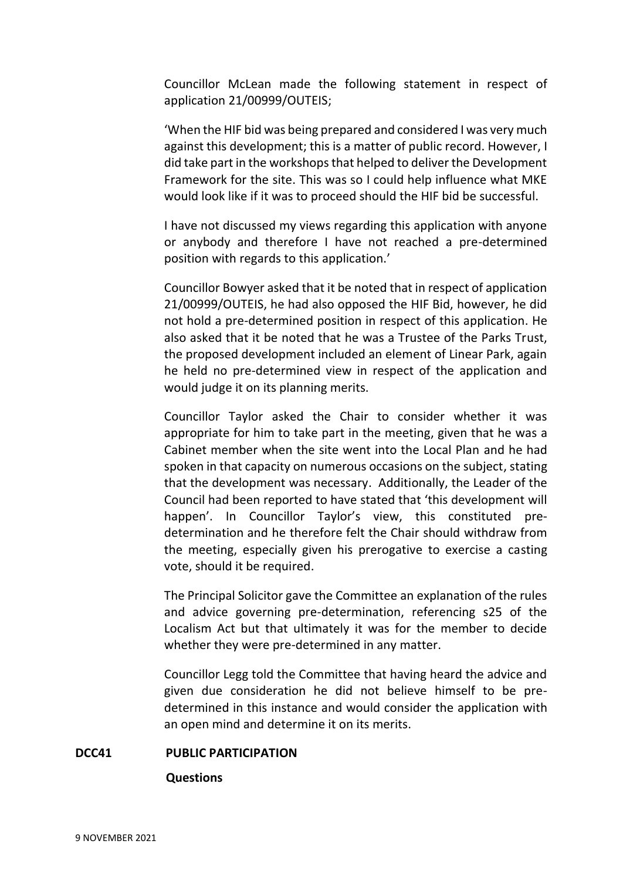Councillor McLean made the following statement in respect of application 21/00999/OUTEIS;

'When the HIF bid was being prepared and considered I was very much against this development; this is a matter of public record. However, I did take part in the workshops that helped to deliver the Development Framework for the site. This was so I could help influence what MKE would look like if it was to proceed should the HIF bid be successful.

I have not discussed my views regarding this application with anyone or anybody and therefore I have not reached a pre-determined position with regards to this application.'

Councillor Bowyer asked that it be noted that in respect of application 21/00999/OUTEIS, he had also opposed the HIF Bid, however, he did not hold a pre-determined position in respect of this application. He also asked that it be noted that he was a Trustee of the Parks Trust, the proposed development included an element of Linear Park, again he held no pre-determined view in respect of the application and would judge it on its planning merits.

Councillor Taylor asked the Chair to consider whether it was appropriate for him to take part in the meeting, given that he was a Cabinet member when the site went into the Local Plan and he had spoken in that capacity on numerous occasions on the subject, stating that the development was necessary. Additionally, the Leader of the Council had been reported to have stated that 'this development will happen'. In Councillor Taylor's view, this constituted predetermination and he therefore felt the Chair should withdraw from the meeting, especially given his prerogative to exercise a casting vote, should it be required.

The Principal Solicitor gave the Committee an explanation of the rules and advice governing pre-determination, referencing s25 of the Localism Act but that ultimately it was for the member to decide whether they were pre-determined in any matter.

Councillor Legg told the Committee that having heard the advice and given due consideration he did not believe himself to be predetermined in this instance and would consider the application with an open mind and determine it on its merits.

#### **DCC41 PUBLIC PARTICIPATION**

#### **Questions**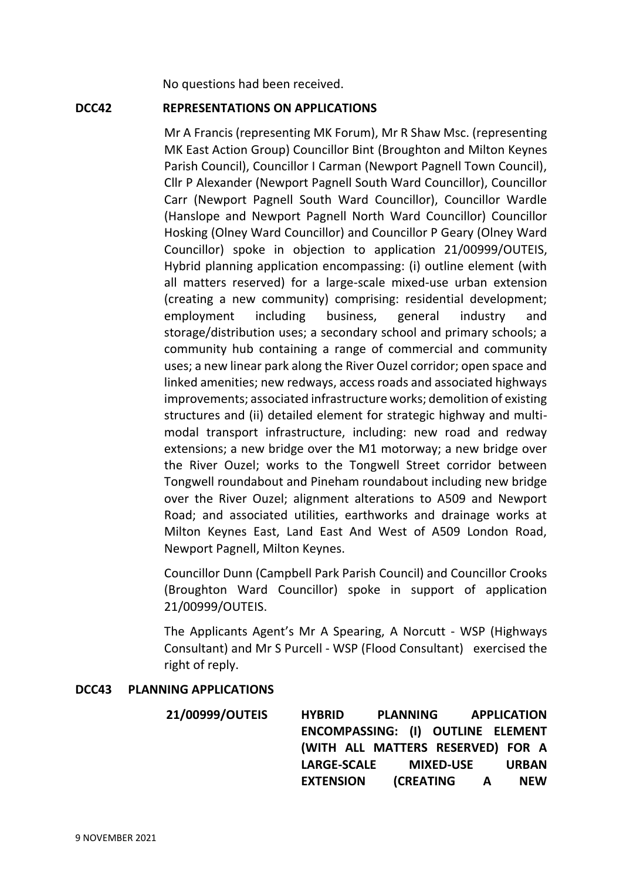No questions had been received.

#### **DCC42 REPRESENTATIONS ON APPLICATIONS**

Mr A Francis (representing MK Forum), Mr R Shaw Msc. (representing MK East Action Group) Councillor Bint (Broughton and Milton Keynes Parish Council), Councillor I Carman (Newport Pagnell Town Council), Cllr P Alexander (Newport Pagnell South Ward Councillor), Councillor Carr (Newport Pagnell South Ward Councillor), Councillor Wardle (Hanslope and Newport Pagnell North Ward Councillor) Councillor Hosking (Olney Ward Councillor) and Councillor P Geary (Olney Ward Councillor) spoke in objection to application 21/00999/OUTEIS, Hybrid planning application encompassing: (i) outline element (with all matters reserved) for a large-scale mixed-use urban extension (creating a new community) comprising: residential development; employment including business, general industry and storage/distribution uses; a secondary school and primary schools; a community hub containing a range of commercial and community uses; a new linear park along the River Ouzel corridor; open space and linked amenities; new redways, access roads and associated highways improvements; associated infrastructure works; demolition of existing structures and (ii) detailed element for strategic highway and multimodal transport infrastructure, including: new road and redway extensions; a new bridge over the M1 motorway; a new bridge over the River Ouzel; works to the Tongwell Street corridor between Tongwell roundabout and Pineham roundabout including new bridge over the River Ouzel; alignment alterations to A509 and Newport Road; and associated utilities, earthworks and drainage works at Milton Keynes East, Land East And West of A509 London Road, Newport Pagnell, Milton Keynes.

Councillor Dunn (Campbell Park Parish Council) and Councillor Crooks (Broughton Ward Councillor) spoke in support of application 21/00999/OUTEIS.

The Applicants Agent's Mr A Spearing, A Norcutt - WSP (Highways Consultant) and Mr S Purcell - WSP (Flood Consultant) exercised the right of reply.

# **DCC43 PLANNING APPLICATIONS**

**21/00999/OUTEIS HYBRID PLANNING APPLICATION ENCOMPASSING: (I) OUTLINE ELEMENT (WITH ALL MATTERS RESERVED) FOR A LARGE-SCALE MIXED-USE URBAN EXTENSION (CREATING A NEW**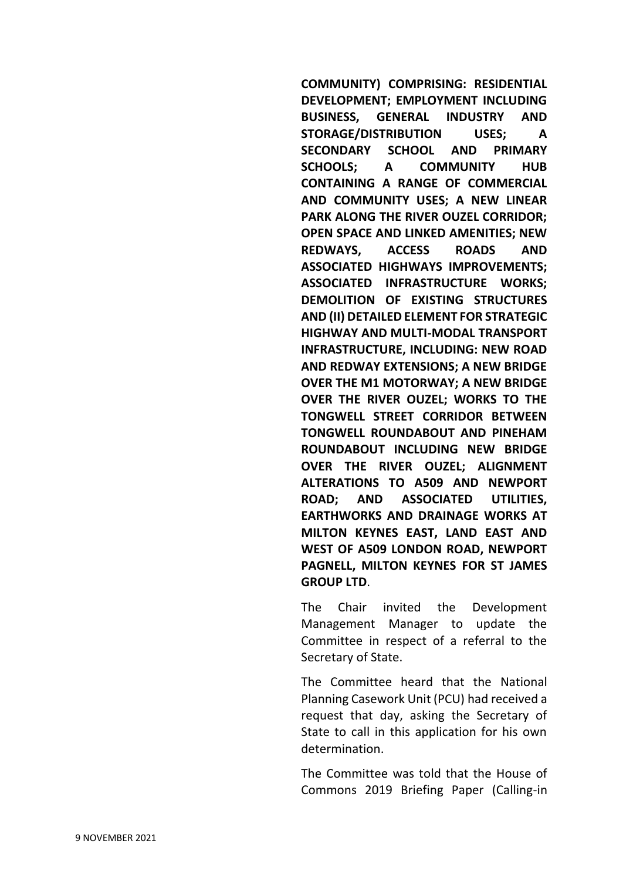**COMMUNITY) COMPRISING: RESIDENTIAL DEVELOPMENT; EMPLOYMENT INCLUDING BUSINESS, GENERAL INDUSTRY AND STORAGE/DISTRIBUTION USES; A SECONDARY SCHOOL AND PRIMARY SCHOOLS; A COMMUNITY HUB CONTAINING A RANGE OF COMMERCIAL AND COMMUNITY USES; A NEW LINEAR PARK ALONG THE RIVER OUZEL CORRIDOR; OPEN SPACE AND LINKED AMENITIES; NEW REDWAYS, ACCESS ROADS AND ASSOCIATED HIGHWAYS IMPROVEMENTS; ASSOCIATED INFRASTRUCTURE WORKS; DEMOLITION OF EXISTING STRUCTURES AND (II) DETAILED ELEMENT FOR STRATEGIC HIGHWAY AND MULTI-MODAL TRANSPORT INFRASTRUCTURE, INCLUDING: NEW ROAD AND REDWAY EXTENSIONS; A NEW BRIDGE OVER THE M1 MOTORWAY; A NEW BRIDGE OVER THE RIVER OUZEL; WORKS TO THE TONGWELL STREET CORRIDOR BETWEEN TONGWELL ROUNDABOUT AND PINEHAM ROUNDABOUT INCLUDING NEW BRIDGE OVER THE RIVER OUZEL; ALIGNMENT ALTERATIONS TO A509 AND NEWPORT ROAD; AND ASSOCIATED UTILITIES, EARTHWORKS AND DRAINAGE WORKS AT MILTON KEYNES EAST, LAND EAST AND WEST OF A509 LONDON ROAD, NEWPORT PAGNELL, MILTON KEYNES FOR ST JAMES GROUP LTD**.

The Chair invited the Development Management Manager to update the Committee in respect of a referral to the Secretary of State.

The Committee heard that the National Planning Casework Unit (PCU) had received a request that day, asking the Secretary of State to call in this application for his own determination.

The Committee was told that the House of Commons 2019 Briefing Paper (Calling-in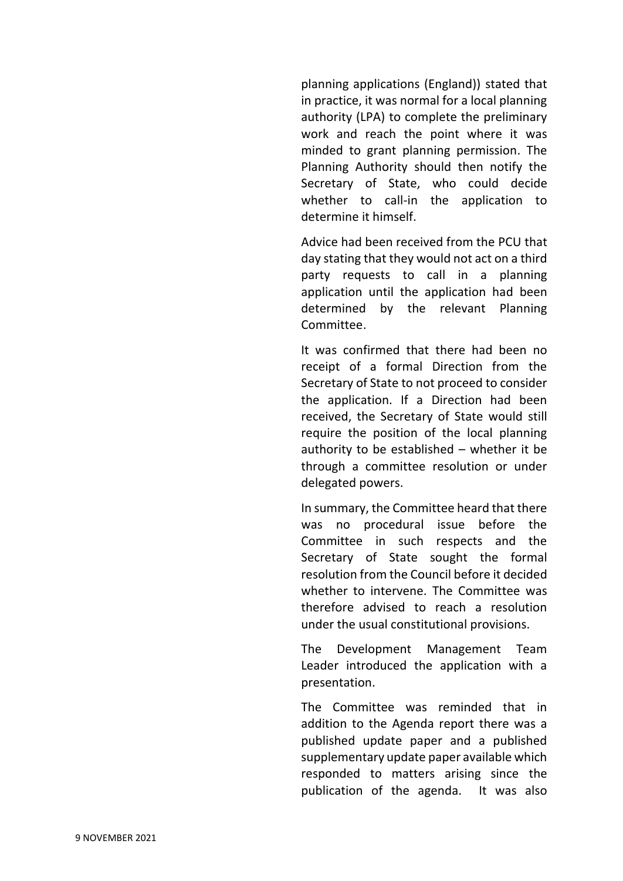planning applications (England)) stated that in practice, it was normal for a local planning authority (LPA) to complete the preliminary work and reach the point where it was minded to grant planning permission. The Planning Authority should then notify the Secretary of State, who could decide whether to call-in the application to determine it himself.

Advice had been received from the PCU that day stating that they would not act on a third party requests to call in a planning application until the application had been determined by the relevant Planning Committee.

It was confirmed that there had been no receipt of a formal Direction from the Secretary of State to not proceed to consider the application. If a Direction had been received, the Secretary of State would still require the position of the local planning authority to be established – whether it be through a committee resolution or under delegated powers.

In summary, the Committee heard that there was no procedural issue before the Committee in such respects and the Secretary of State sought the formal resolution from the Council before it decided whether to intervene. The Committee was therefore advised to reach a resolution under the usual constitutional provisions.

The Development Management Team Leader introduced the application with a presentation.

The Committee was reminded that in addition to the Agenda report there was a published update paper and a published supplementary update paper available which responded to matters arising since the publication of the agenda. It was also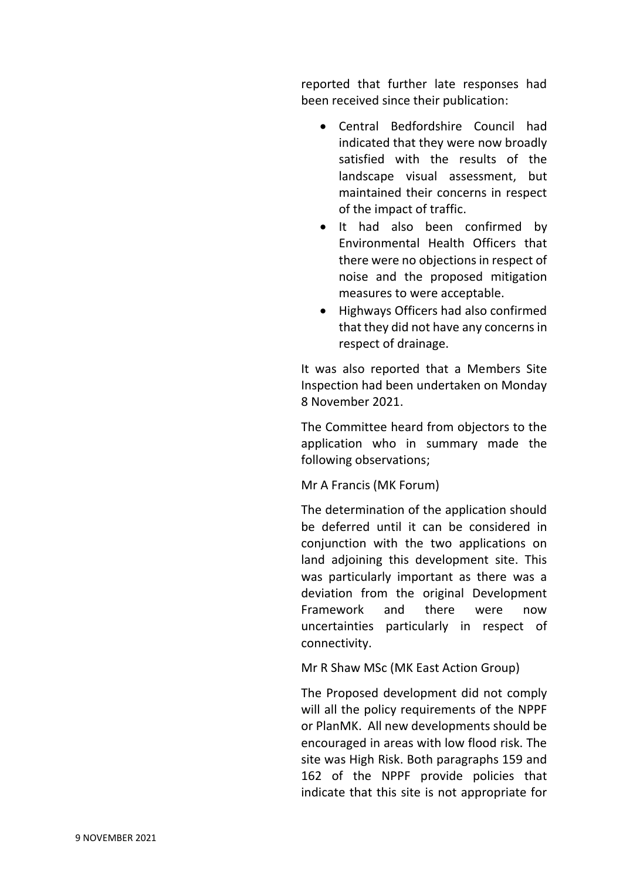reported that further late responses had been received since their publication:

- Central Bedfordshire Council had indicated that they were now broadly satisfied with the results of the landscape visual assessment, but maintained their concerns in respect of the impact of traffic.
- It had also been confirmed by Environmental Health Officers that there were no objections in respect of noise and the proposed mitigation measures to were acceptable.
- Highways Officers had also confirmed that they did not have any concerns in respect of drainage.

It was also reported that a Members Site Inspection had been undertaken on Monday 8 November 2021.

The Committee heard from objectors to the application who in summary made the following observations;

# Mr A Francis (MK Forum)

The determination of the application should be deferred until it can be considered in conjunction with the two applications on land adjoining this development site. This was particularly important as there was a deviation from the original Development Framework and there were now uncertainties particularly in respect of connectivity.

Mr R Shaw MSc (MK East Action Group)

The Proposed development did not comply will all the policy requirements of the NPPF or PlanMK. All new developments should be encouraged in areas with low flood risk. The site was High Risk. Both paragraphs 159 and 162 of the NPPF provide policies that indicate that this site is not appropriate for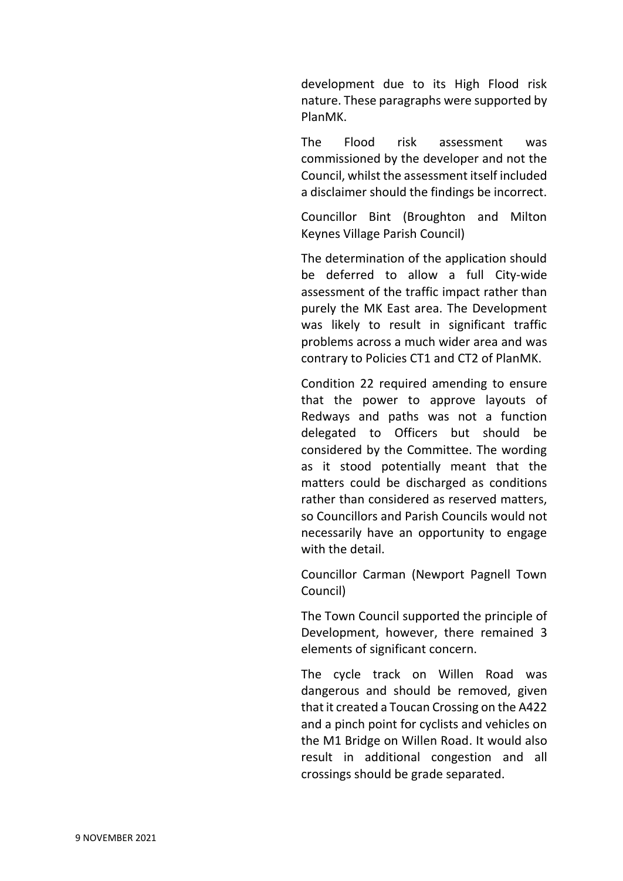development due to its High Flood risk nature. These paragraphs were supported by PlanMK.

The Flood risk assessment was commissioned by the developer and not the Council, whilst the assessment itself included a disclaimer should the findings be incorrect.

Councillor Bint (Broughton and Milton Keynes Village Parish Council)

The determination of the application should be deferred to allow a full City-wide assessment of the traffic impact rather than purely the MK East area. The Development was likely to result in significant traffic problems across a much wider area and was contrary to Policies CT1 and CT2 of PlanMK.

Condition 22 required amending to ensure that the power to approve layouts of Redways and paths was not a function delegated to Officers but should be considered by the Committee. The wording as it stood potentially meant that the matters could be discharged as conditions rather than considered as reserved matters, so Councillors and Parish Councils would not necessarily have an opportunity to engage with the detail.

Councillor Carman (Newport Pagnell Town Council)

The Town Council supported the principle of Development, however, there remained 3 elements of significant concern.

The cycle track on Willen Road was dangerous and should be removed, given that it created a Toucan Crossing on the A422 and a pinch point for cyclists and vehicles on the M1 Bridge on Willen Road. It would also result in additional congestion and all crossings should be grade separated.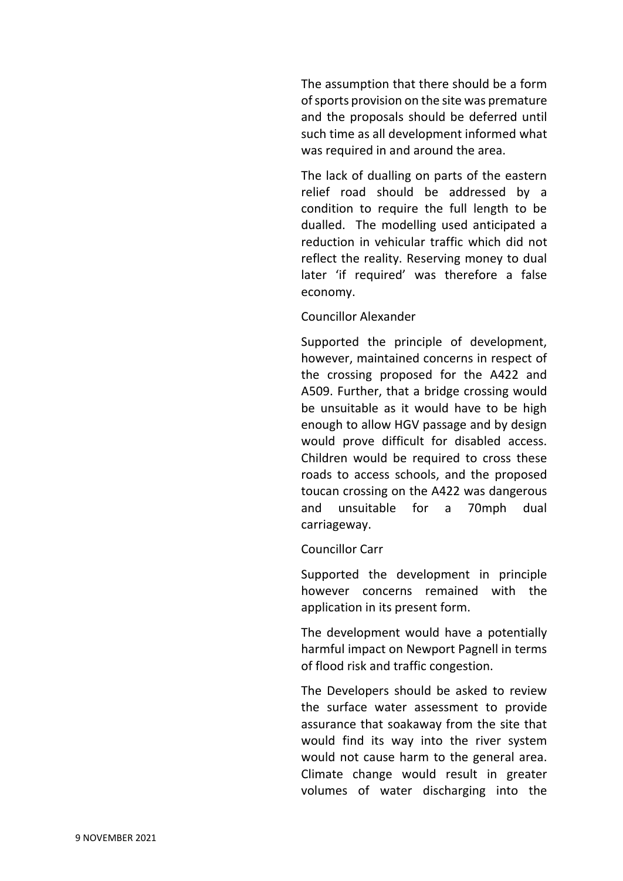The assumption that there should be a form of sports provision on the site was premature and the proposals should be deferred until such time as all development informed what was required in and around the area.

The lack of dualling on parts of the eastern relief road should be addressed by a condition to require the full length to be dualled. The modelling used anticipated a reduction in vehicular traffic which did not reflect the reality. Reserving money to dual later 'if required' was therefore a false economy.

# Councillor Alexander

Supported the principle of development, however, maintained concerns in respect of the crossing proposed for the A422 and A509. Further, that a bridge crossing would be unsuitable as it would have to be high enough to allow HGV passage and by design would prove difficult for disabled access. Children would be required to cross these roads to access schools, and the proposed toucan crossing on the A422 was dangerous and unsuitable for a 70mph dual carriageway.

# Councillor Carr

Supported the development in principle however concerns remained with the application in its present form.

The development would have a potentially harmful impact on Newport Pagnell in terms of flood risk and traffic congestion.

The Developers should be asked to review the surface water assessment to provide assurance that soakaway from the site that would find its way into the river system would not cause harm to the general area. Climate change would result in greater volumes of water discharging into the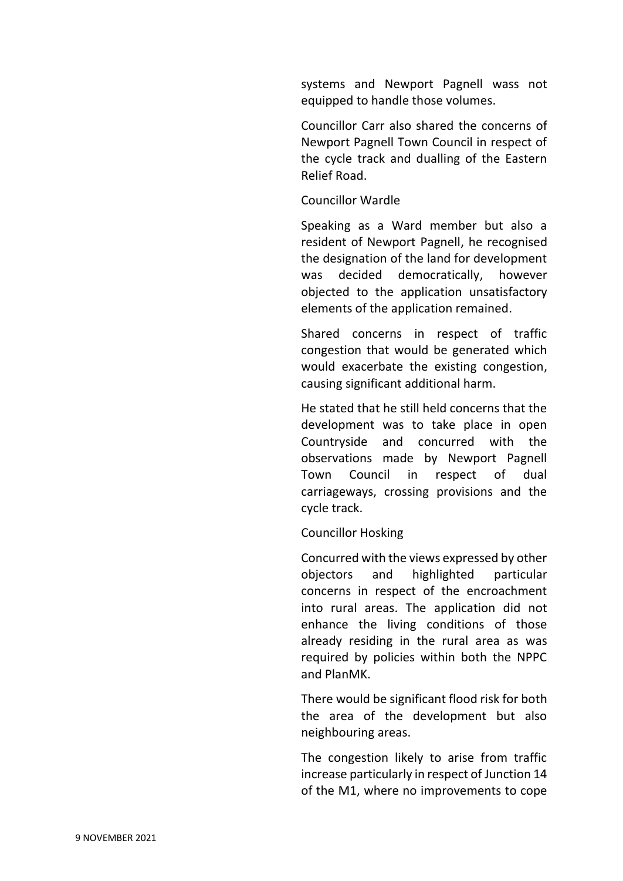systems and Newport Pagnell wass not equipped to handle those volumes.

Councillor Carr also shared the concerns of Newport Pagnell Town Council in respect of the cycle track and dualling of the Eastern Relief Road.

# Councillor Wardle

Speaking as a Ward member but also a resident of Newport Pagnell, he recognised the designation of the land for development was decided democratically, however objected to the application unsatisfactory elements of the application remained.

Shared concerns in respect of traffic congestion that would be generated which would exacerbate the existing congestion, causing significant additional harm.

He stated that he still held concerns that the development was to take place in open Countryside and concurred with the observations made by Newport Pagnell Town Council in respect of dual carriageways, crossing provisions and the cycle track.

# Councillor Hosking

Concurred with the views expressed by other objectors and highlighted particular concerns in respect of the encroachment into rural areas. The application did not enhance the living conditions of those already residing in the rural area as was required by policies within both the NPPC and PlanMK.

There would be significant flood risk for both the area of the development but also neighbouring areas.

The congestion likely to arise from traffic increase particularly in respect of Junction 14 of the M1, where no improvements to cope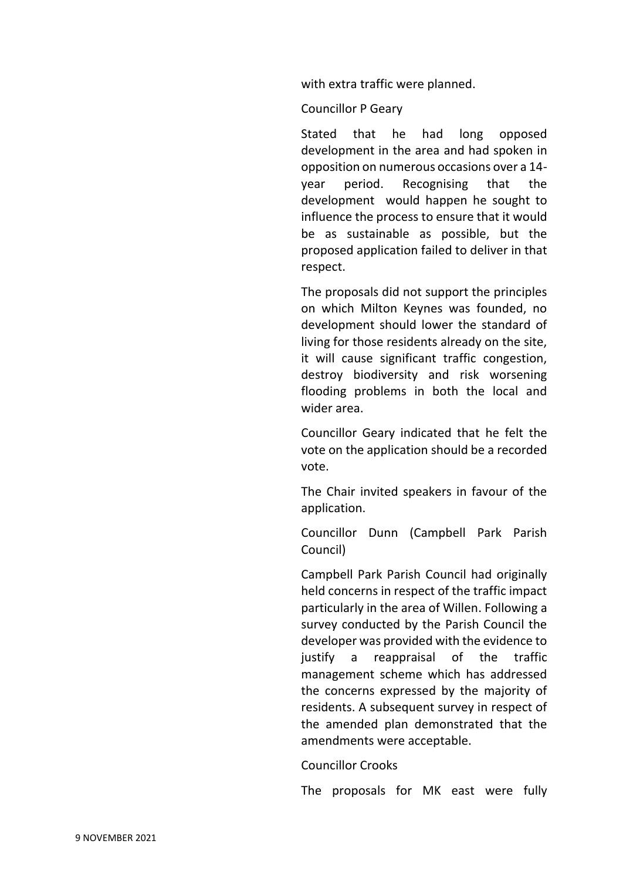with extra traffic were planned.

Councillor P Geary

Stated that he had long opposed development in the area and had spoken in opposition on numerous occasions over a 14 year period. Recognising that the development would happen he sought to influence the process to ensure that it would be as sustainable as possible, but the proposed application failed to deliver in that respect.

The proposals did not support the principles on which Milton Keynes was founded, no development should lower the standard of living for those residents already on the site, it will cause significant traffic congestion, destroy biodiversity and risk worsening flooding problems in both the local and wider area.

Councillor Geary indicated that he felt the vote on the application should be a recorded vote.

The Chair invited speakers in favour of the application.

Councillor Dunn (Campbell Park Parish Council)

Campbell Park Parish Council had originally held concerns in respect of the traffic impact particularly in the area of Willen. Following a survey conducted by the Parish Council the developer was provided with the evidence to justify a reappraisal of the traffic management scheme which has addressed the concerns expressed by the majority of residents. A subsequent survey in respect of the amended plan demonstrated that the amendments were acceptable.

Councillor Crooks

The proposals for MK east were fully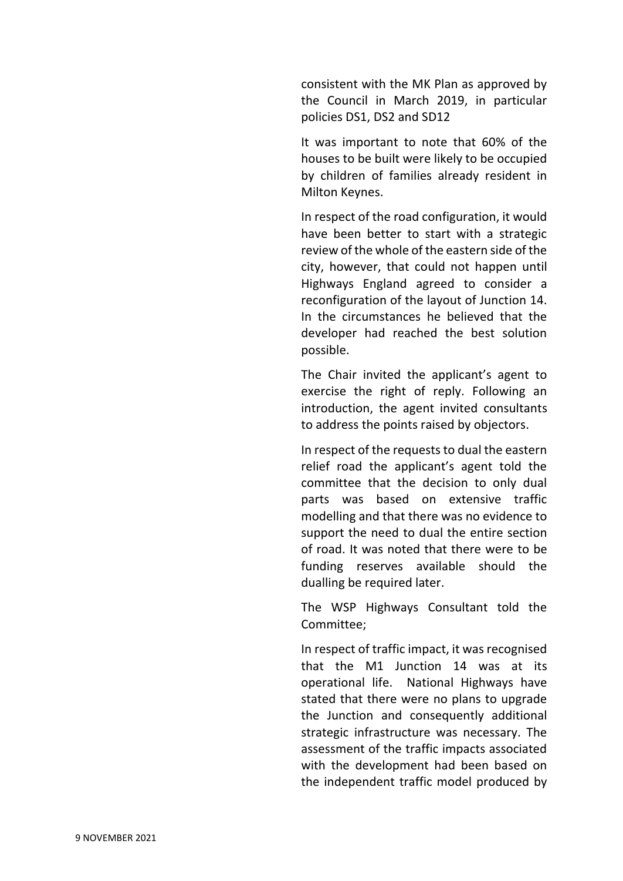consistent with the MK Plan as approved by the Council in March 2019, in particular policies DS1, DS2 and SD12

It was important to note that 60% of the houses to be built were likely to be occupied by children of families already resident in Milton Keynes.

In respect of the road configuration, it would have been better to start with a strategic review of the whole of the eastern side of the city, however, that could not happen until Highways England agreed to consider a reconfiguration of the layout of Junction 14. In the circumstances he believed that the developer had reached the best solution possible.

The Chair invited the applicant's agent to exercise the right of reply. Following an introduction, the agent invited consultants to address the points raised by objectors.

In respect of the requests to dual the eastern relief road the applicant's agent told the committee that the decision to only dual parts was based on extensive traffic modelling and that there was no evidence to support the need to dual the entire section of road. It was noted that there were to be funding reserves available should the dualling be required later.

The WSP Highways Consultant told the Committee;

In respect of traffic impact, it was recognised that the M1 Junction 14 was at its operational life. National Highways have stated that there were no plans to upgrade the Junction and consequently additional strategic infrastructure was necessary. The assessment of the traffic impacts associated with the development had been based on the independent traffic model produced by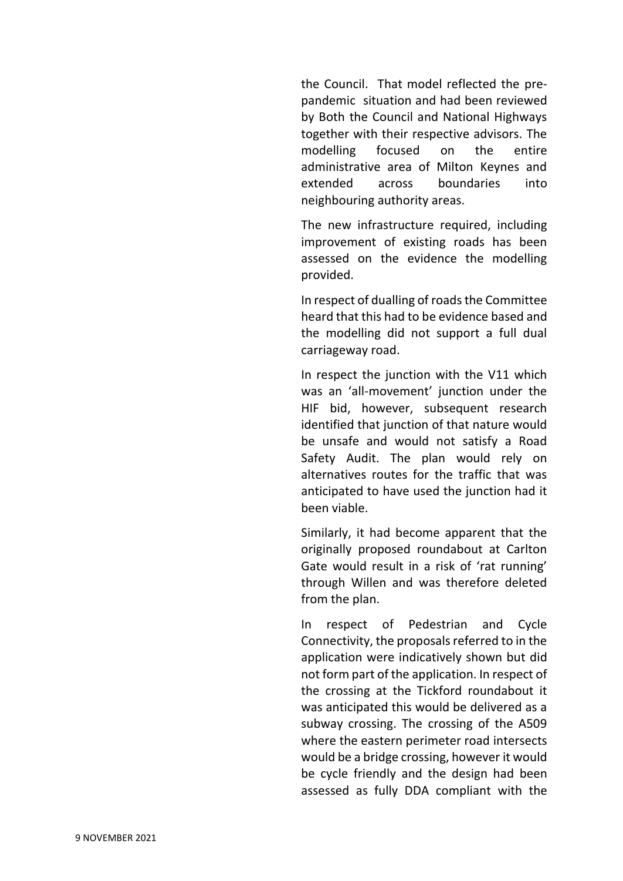the Council. That model reflected the prepandemic situation and had been reviewed by Both the Council and National Highways together with their respective advisors. The modelling focused on the entire administrative area of Milton Keynes and extended across boundaries into neighbouring authority areas.

The new infrastructure required, including improvement of existing roads has been assessed on the evidence the modelling provided.

In respect of dualling of roads the Committee heard that this had to be evidence based and the modelling did not support a full dual carriageway road.

In respect the junction with the V11 which was an 'all-movement' junction under the HIF bid, however, subsequent research identified that junction of that nature would be unsafe and would not satisfy a Road Safety Audit. The plan would rely on alternatives routes for the traffic that was anticipated to have used the junction had it been viable.

Similarly, it had become apparent that the originally proposed roundabout at Carlton Gate would result in a risk of 'rat running' through Willen and was therefore deleted from the plan.

In respect of Pedestrian and Cycle Connectivity, the proposals referred to in the application were indicatively shown but did not form part of the application. In respect of the crossing at the Tickford roundabout it was anticipated this would be delivered as a subway crossing. The crossing of the A509 where the eastern perimeter road intersects would be a bridge crossing, however it would be cycle friendly and the design had been assessed as fully DDA compliant with the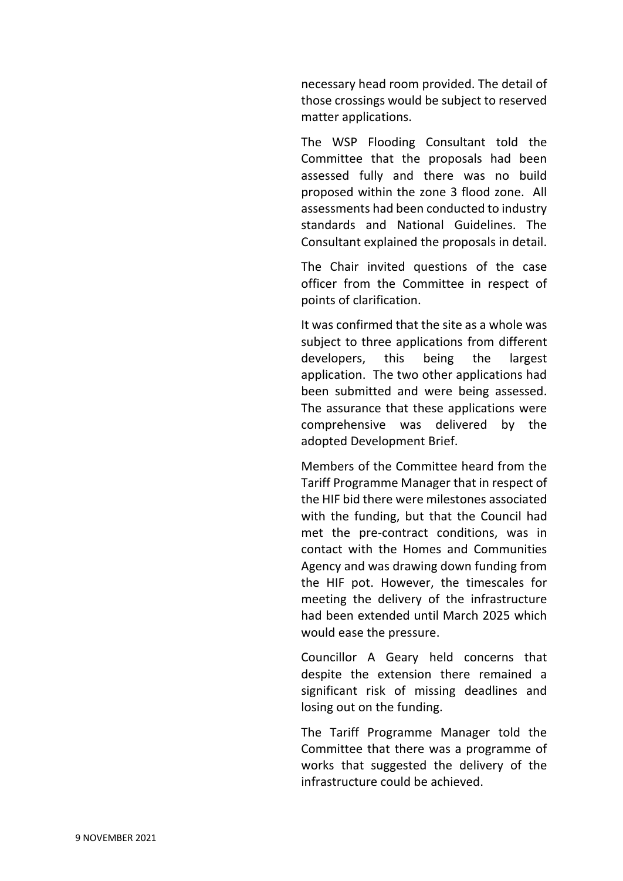necessary head room provided. The detail of those crossings would be subject to reserved matter applications.

The WSP Flooding Consultant told the Committee that the proposals had been assessed fully and there was no build proposed within the zone 3 flood zone. All assessments had been conducted to industry standards and National Guidelines. The Consultant explained the proposals in detail.

The Chair invited questions of the case officer from the Committee in respect of points of clarification.

It was confirmed that the site as a whole was subject to three applications from different developers, this being the largest application. The two other applications had been submitted and were being assessed. The assurance that these applications were comprehensive was delivered by the adopted Development Brief.

Members of the Committee heard from the Tariff Programme Manager that in respect of the HIF bid there were milestones associated with the funding, but that the Council had met the pre-contract conditions, was in contact with the Homes and Communities Agency and was drawing down funding from the HIF pot. However, the timescales for meeting the delivery of the infrastructure had been extended until March 2025 which would ease the pressure.

Councillor A Geary held concerns that despite the extension there remained a significant risk of missing deadlines and losing out on the funding.

The Tariff Programme Manager told the Committee that there was a programme of works that suggested the delivery of the infrastructure could be achieved.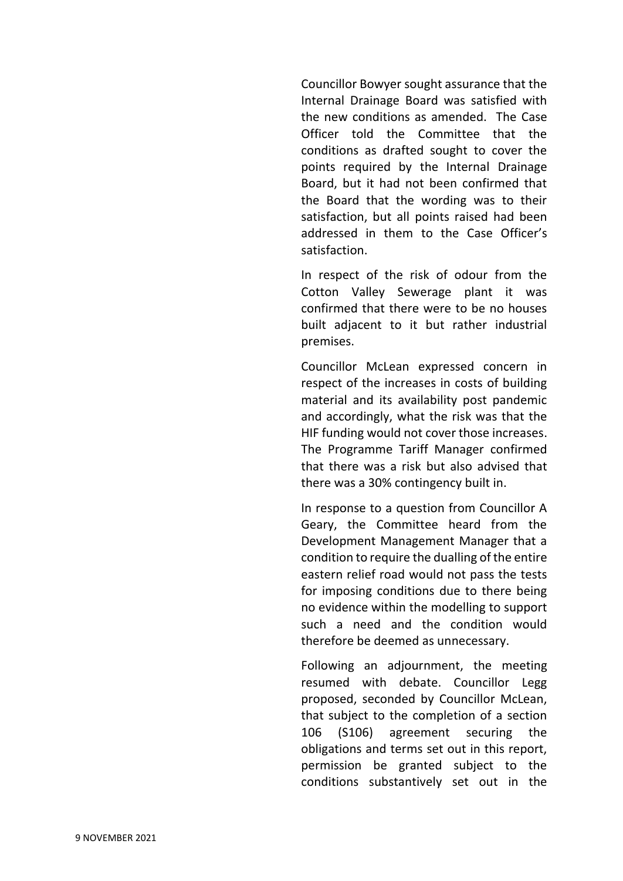Councillor Bowyer sought assurance that the Internal Drainage Board was satisfied with the new conditions as amended. The Case Officer told the Committee that the conditions as drafted sought to cover the points required by the Internal Drainage Board, but it had not been confirmed that the Board that the wording was to their satisfaction, but all points raised had been addressed in them to the Case Officer's satisfaction.

In respect of the risk of odour from the Cotton Valley Sewerage plant it was confirmed that there were to be no houses built adjacent to it but rather industrial premises.

Councillor McLean expressed concern in respect of the increases in costs of building material and its availability post pandemic and accordingly, what the risk was that the HIF funding would not cover those increases. The Programme Tariff Manager confirmed that there was a risk but also advised that there was a 30% contingency built in.

In response to a question from Councillor A Geary, the Committee heard from the Development Management Manager that a condition to require the dualling of the entire eastern relief road would not pass the tests for imposing conditions due to there being no evidence within the modelling to support such a need and the condition would therefore be deemed as unnecessary.

Following an adjournment, the meeting resumed with debate. Councillor Legg proposed, seconded by Councillor McLean, that subject to the completion of a section 106 (S106) agreement securing the obligations and terms set out in this report, permission be granted subject to the conditions substantively set out in the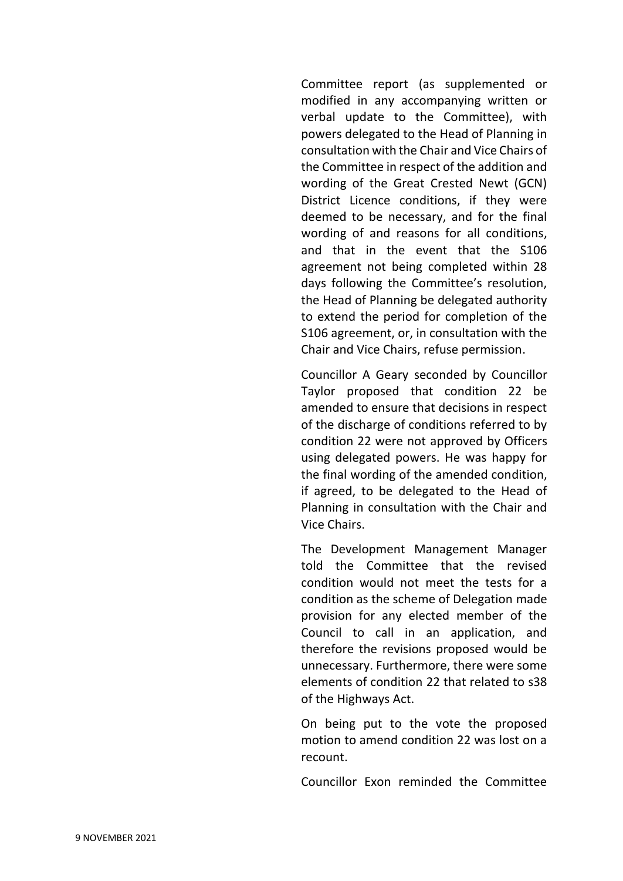Committee report (as supplemented or modified in any accompanying written or verbal update to the Committee), with powers delegated to the Head of Planning in consultation with the Chair and Vice Chairs of the Committee in respect of the addition and wording of the Great Crested Newt (GCN) District Licence conditions, if they were deemed to be necessary, and for the final wording of and reasons for all conditions, and that in the event that the S106 agreement not being completed within 28 days following the Committee's resolution, the Head of Planning be delegated authority to extend the period for completion of the S106 agreement, or, in consultation with the Chair and Vice Chairs, refuse permission.

Councillor A Geary seconded by Councillor Taylor proposed that condition 22 be amended to ensure that decisions in respect of the discharge of conditions referred to by condition 22 were not approved by Officers using delegated powers. He was happy for the final wording of the amended condition, if agreed, to be delegated to the Head of Planning in consultation with the Chair and Vice Chairs.

The Development Management Manager told the Committee that the revised condition would not meet the tests for a condition as the scheme of Delegation made provision for any elected member of the Council to call in an application, and therefore the revisions proposed would be unnecessary. Furthermore, there were some elements of condition 22 that related to s38 of the Highways Act.

On being put to the vote the proposed motion to amend condition 22 was lost on a recount.

Councillor Exon reminded the Committee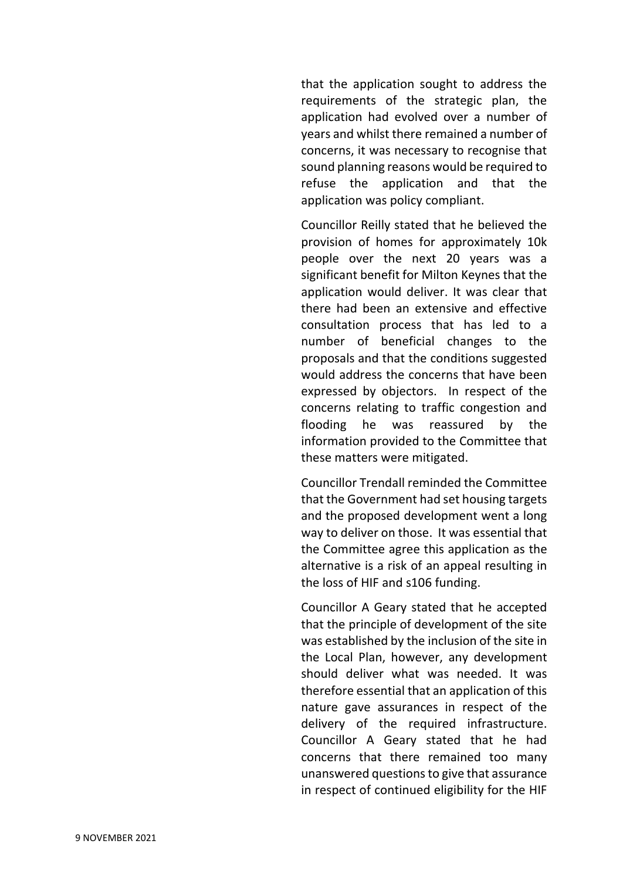that the application sought to address the requirements of the strategic plan, the application had evolved over a number of years and whilst there remained a number of concerns, it was necessary to recognise that sound planning reasons would be required to refuse the application and that the application was policy compliant.

Councillor Reilly stated that he believed the provision of homes for approximately 10k people over the next 20 years was a significant benefit for Milton Keynes that the application would deliver. It was clear that there had been an extensive and effective consultation process that has led to a number of beneficial changes to the proposals and that the conditions suggested would address the concerns that have been expressed by objectors. In respect of the concerns relating to traffic congestion and flooding he was reassured by the information provided to the Committee that these matters were mitigated.

Councillor Trendall reminded the Committee that the Government had set housing targets and the proposed development went a long way to deliver on those. It was essential that the Committee agree this application as the alternative is a risk of an appeal resulting in the loss of HIF and s106 funding.

Councillor A Geary stated that he accepted that the principle of development of the site was established by the inclusion of the site in the Local Plan, however, any development should deliver what was needed. It was therefore essential that an application of this nature gave assurances in respect of the delivery of the required infrastructure. Councillor A Geary stated that he had concerns that there remained too many unanswered questions to give that assurance in respect of continued eligibility for the HIF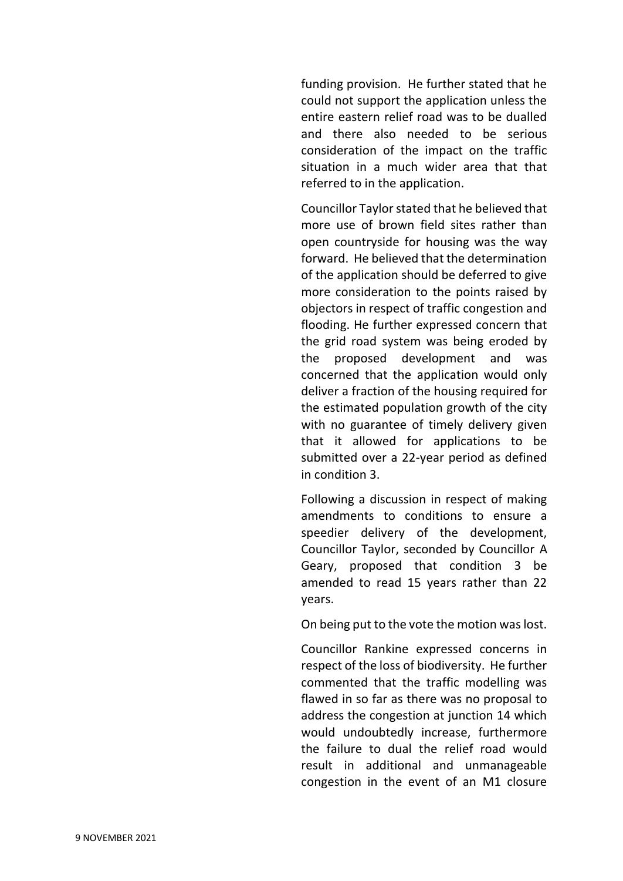funding provision. He further stated that he could not support the application unless the entire eastern relief road was to be dualled and there also needed to be serious consideration of the impact on the traffic situation in a much wider area that that referred to in the application.

Councillor Taylor stated that he believed that more use of brown field sites rather than open countryside for housing was the way forward. He believed that the determination of the application should be deferred to give more consideration to the points raised by objectors in respect of traffic congestion and flooding. He further expressed concern that the grid road system was being eroded by the proposed development and was concerned that the application would only deliver a fraction of the housing required for the estimated population growth of the city with no guarantee of timely delivery given that it allowed for applications to be submitted over a 22-year period as defined in condition 3.

Following a discussion in respect of making amendments to conditions to ensure a speedier delivery of the development, Councillor Taylor, seconded by Councillor A Geary, proposed that condition 3 be amended to read 15 years rather than 22 years.

On being put to the vote the motion was lost.

Councillor Rankine expressed concerns in respect of the loss of biodiversity. He further commented that the traffic modelling was flawed in so far as there was no proposal to address the congestion at junction 14 which would undoubtedly increase, furthermore the failure to dual the relief road would result in additional and unmanageable congestion in the event of an M1 closure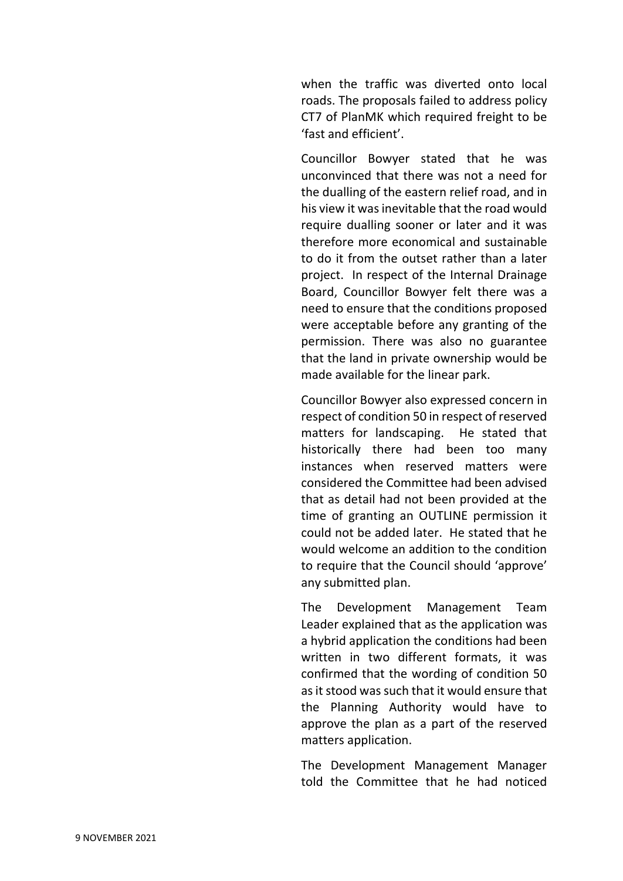when the traffic was diverted onto local roads. The proposals failed to address policy CT7 of PlanMK which required freight to be 'fast and efficient'.

Councillor Bowyer stated that he was unconvinced that there was not a need for the dualling of the eastern relief road, and in his view it was inevitable that the road would require dualling sooner or later and it was therefore more economical and sustainable to do it from the outset rather than a later project. In respect of the Internal Drainage Board, Councillor Bowyer felt there was a need to ensure that the conditions proposed were acceptable before any granting of the permission. There was also no guarantee that the land in private ownership would be made available for the linear park.

Councillor Bowyer also expressed concern in respect of condition 50 in respect of reserved matters for landscaping. He stated that historically there had been too many instances when reserved matters were considered the Committee had been advised that as detail had not been provided at the time of granting an OUTLINE permission it could not be added later. He stated that he would welcome an addition to the condition to require that the Council should 'approve' any submitted plan.

The Development Management Team Leader explained that as the application was a hybrid application the conditions had been written in two different formats, it was confirmed that the wording of condition 50 as it stood was such that it would ensure that the Planning Authority would have to approve the plan as a part of the reserved matters application.

The Development Management Manager told the Committee that he had noticed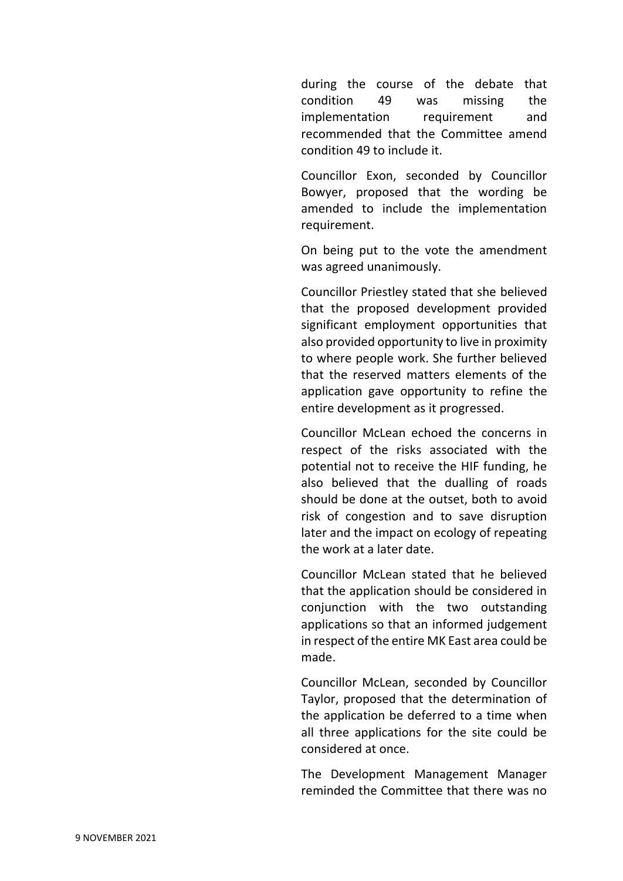during the course of the debate that condition 49 was missing the implementation requirement and recommended that the Committee amend condition 49 to include it.

Councillor Exon, seconded by Councillor Bowyer, proposed that the wording be amended to include the implementation requirement.

On being put to the vote the amendment was agreed unanimously.

Councillor Priestley stated that she believed that the proposed development provided significant employment opportunities that also provided opportunity to live in proximity to where people work. She further believed that the reserved matters elements of the application gave opportunity to refine the entire development as it progressed.

Councillor McLean echoed the concerns in respect of the risks associated with the potential not to receive the HIF funding, he also believed that the dualling of roads should be done at the outset, both to avoid risk of congestion and to save disruption later and the impact on ecology of repeating the work at a later date.

Councillor McLean stated that he believed that the application should be considered in conjunction with the two outstanding applications so that an informed judgement in respect of the entire MK East area could be made.

Councillor McLean, seconded by Councillor Taylor, proposed that the determination of the application be deferred to a time when all three applications for the site could be considered at once.

The Development Management Manager reminded the Committee that there was no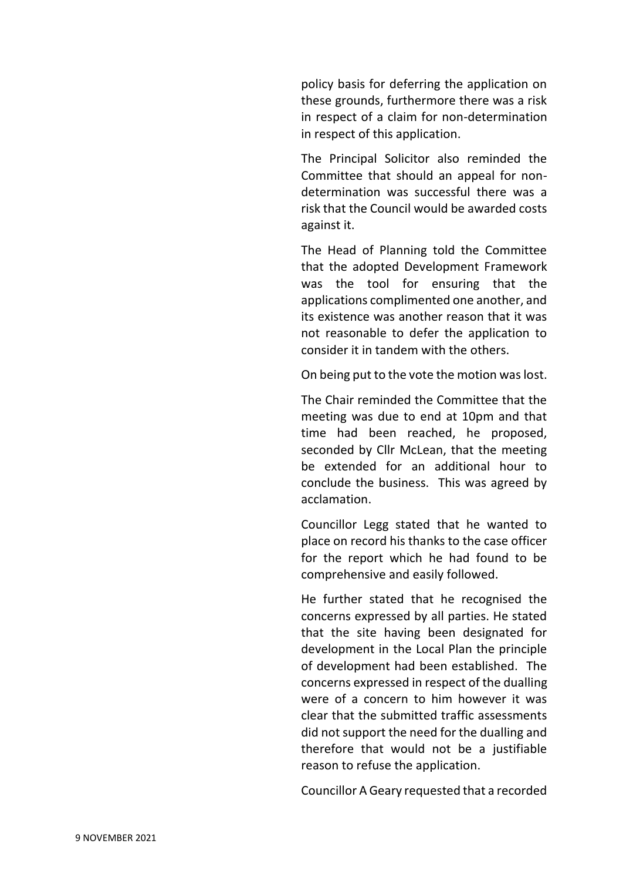policy basis for deferring the application on these grounds, furthermore there was a risk in respect of a claim for non-determination in respect of this application.

The Principal Solicitor also reminded the Committee that should an appeal for nondetermination was successful there was a risk that the Council would be awarded costs against it.

The Head of Planning told the Committee that the adopted Development Framework was the tool for ensuring that the applications complimented one another, and its existence was another reason that it was not reasonable to defer the application to consider it in tandem with the others.

On being put to the vote the motion was lost.

The Chair reminded the Committee that the meeting was due to end at 10pm and that time had been reached, he proposed, seconded by Cllr McLean, that the meeting be extended for an additional hour to conclude the business. This was agreed by acclamation.

Councillor Legg stated that he wanted to place on record his thanks to the case officer for the report which he had found to be comprehensive and easily followed.

He further stated that he recognised the concerns expressed by all parties. He stated that the site having been designated for development in the Local Plan the principle of development had been established. The concerns expressed in respect of the dualling were of a concern to him however it was clear that the submitted traffic assessments did not support the need for the dualling and therefore that would not be a justifiable reason to refuse the application.

Councillor A Geary requested that a recorded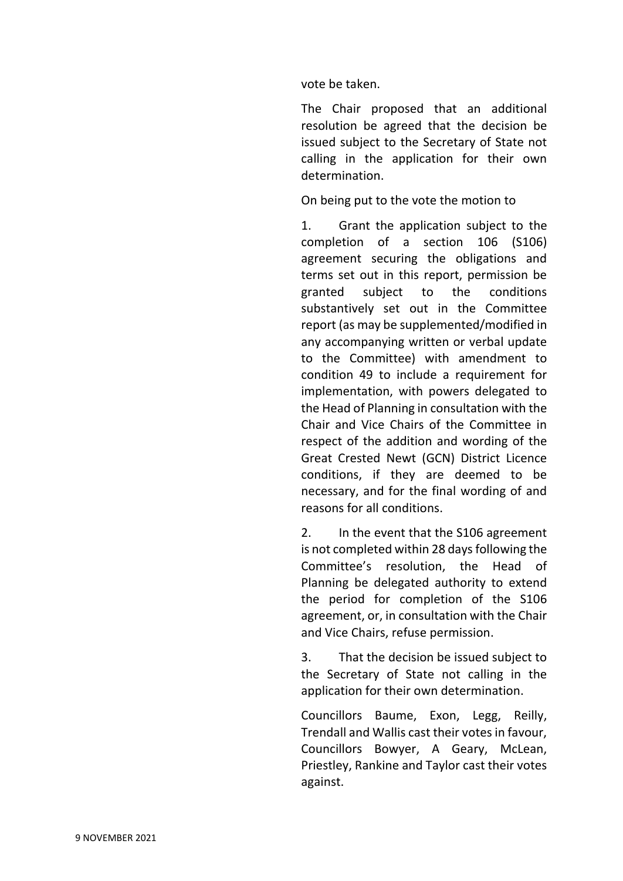vote be taken.

The Chair proposed that an additional resolution be agreed that the decision be issued subject to the Secretary of State not calling in the application for their own determination.

On being put to the vote the motion to

1. Grant the application subject to the completion of a section 106 (S106) agreement securing the obligations and terms set out in this report, permission be granted subject to the conditions substantively set out in the Committee report (as may be supplemented/modified in any accompanying written or verbal update to the Committee) with amendment to condition 49 to include a requirement for implementation, with powers delegated to the Head of Planning in consultation with the Chair and Vice Chairs of the Committee in respect of the addition and wording of the Great Crested Newt (GCN) District Licence conditions, if they are deemed to be necessary, and for the final wording of and reasons for all conditions.

2. In the event that the S106 agreement is not completed within 28 days following the Committee's resolution, the Head of Planning be delegated authority to extend the period for completion of the S106 agreement, or, in consultation with the Chair and Vice Chairs, refuse permission.

3. That the decision be issued subject to the Secretary of State not calling in the application for their own determination.

Councillors Baume, Exon, Legg, Reilly, Trendall and Wallis cast their votes in favour, Councillors Bowyer, A Geary, McLean, Priestley, Rankine and Taylor cast their votes against.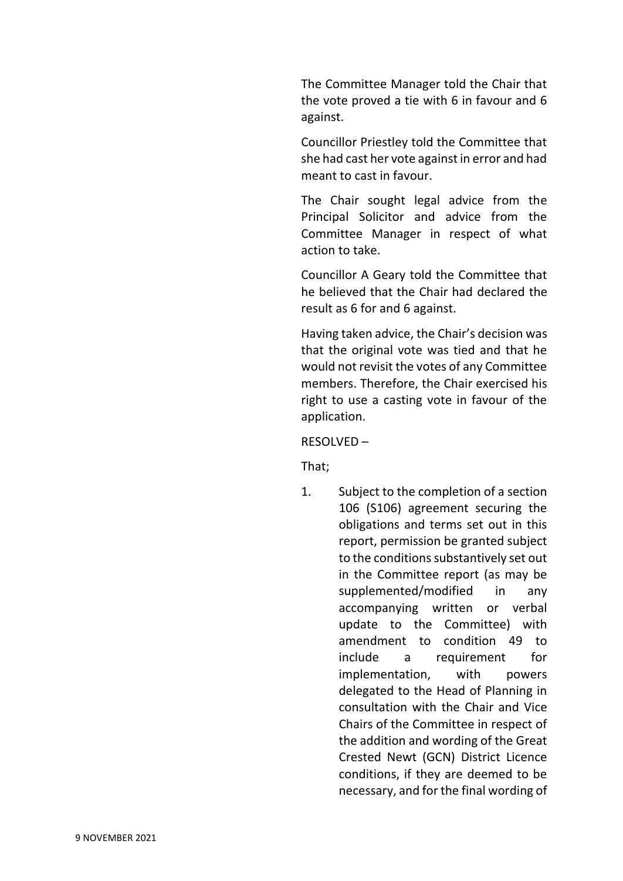The Committee Manager told the Chair that the vote proved a tie with 6 in favour and 6 against.

Councillor Priestley told the Committee that she had cast her vote against in error and had meant to cast in favour.

The Chair sought legal advice from the Principal Solicitor and advice from the Committee Manager in respect of what action to take.

Councillor A Geary told the Committee that he believed that the Chair had declared the result as 6 for and 6 against.

Having taken advice, the Chair's decision was that the original vote was tied and that he would not revisit the votes of any Committee members. Therefore, the Chair exercised his right to use a casting vote in favour of the application.

#### RESOLVED –

That;

1. Subject to the completion of a section 106 (S106) agreement securing the obligations and terms set out in this report, permission be granted subject to the conditions substantively set out in the Committee report (as may be supplemented/modified in any accompanying written or verbal update to the Committee) with amendment to condition 49 to include a requirement for implementation, with powers delegated to the Head of Planning in consultation with the Chair and Vice Chairs of the Committee in respect of the addition and wording of the Great Crested Newt (GCN) District Licence conditions, if they are deemed to be necessary, and for the final wording of